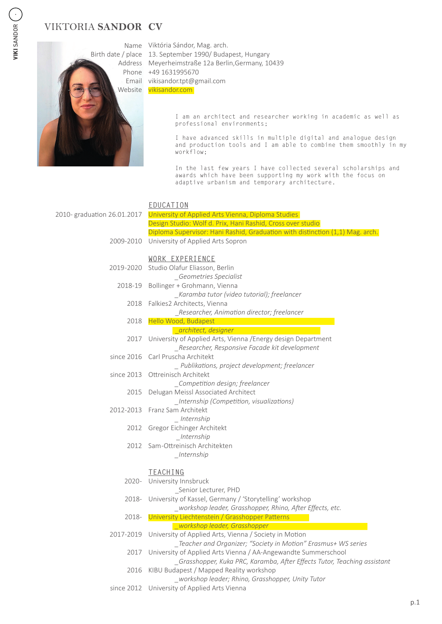# **CV** VIKTORIA **SANDOR**



Name Viktória Sándor, Mag. arch. Birth date / place 13. September 1990/ Budapest, Hungary Address Meyerheimstraße 12a Berlin, Germany, 10439 Phone +49 1631995670 Email vikisandor.tpt@gmail.com Website vikisandor.com

> I am an architect and researcher working in academic as well as professional environments;

I have advanced skills in multiple digital and analogue design and production tools and I am able to combine them smoothly in my workflow;

In the last few years I have collected several scholarships and awards which have been supporting my work with the focus on adaptive urbanism and temporary architecture.

#### **EDUCATION** University of Applied Arts Vienna, Diploma Studies Design Studio: Wolf d. Prix, Hani Rashid, Cross over studio Diploma Supervisor: Hani Rashid, Graduation with distinction (1,1) Mag. arch. University of Applied Arts Sopron **WORK EXPERIENCE** Studio Olafur Eliasson, Berlin *\_Geometries Specialist* Bollinger + Grohmann, Vienna *\_Karamba tutor (video tutorial); freelancer* 2018 Falkies2 Architects, Vienna \_*Researcher, Animation director; freelancer* Hello Wood, Budapest \_*architect, designer* University of Applied Arts, Vienna /Energy design Department *\_Researcher, Responsive Facade kit development*  Carl Pruscha Architekt *\_ Publikations, project development; freelancer* since 2013 Ottreinisch Architekt *\_Competition design; freelancer* 2015 Delugan Meissl Associated Architect *\_Internship (Competition, visualizations)* 2012-2013 Franz Sam Architekt *\_ Internship* 2012 Gregor Eichinger Architekt *\_Internship* 2012 Sam-Ottreinisch Architekten *\_Internship* **TEACHING** 2020- University Innsbruck \_Senior Lecturer, PHD University of Kassel, Germany / 'Storytelling' workshop *\_workshop leader, Grasshopper, Rhino, After Effects, etc.* University Liechtenstein / Grasshopper Patterns *\_workshop leader, Grasshopper* 2017-2019 University of Applied Arts, Vienna / Society in Motion *\_Teacher and Organizer; "Society in Motion" Erasmus+ WS series* University of Applied Arts Vienna / AA-Angewandte Summerschool 2017 *\_Grasshopper, Kuka PRC, Karamba, After Effects Tutor, Teaching assistant* KIBU Budapest / Mapped Reality workshop *\_workshop leader; Rhino, Grasshopper, Unity Tutor* since 2012 University of Applied Arts Vienna 2010- graduation 26.01.2017 2009-2010 2019 -2020 2018-19 2018 2017 since 2016 2018- 2018- 2016